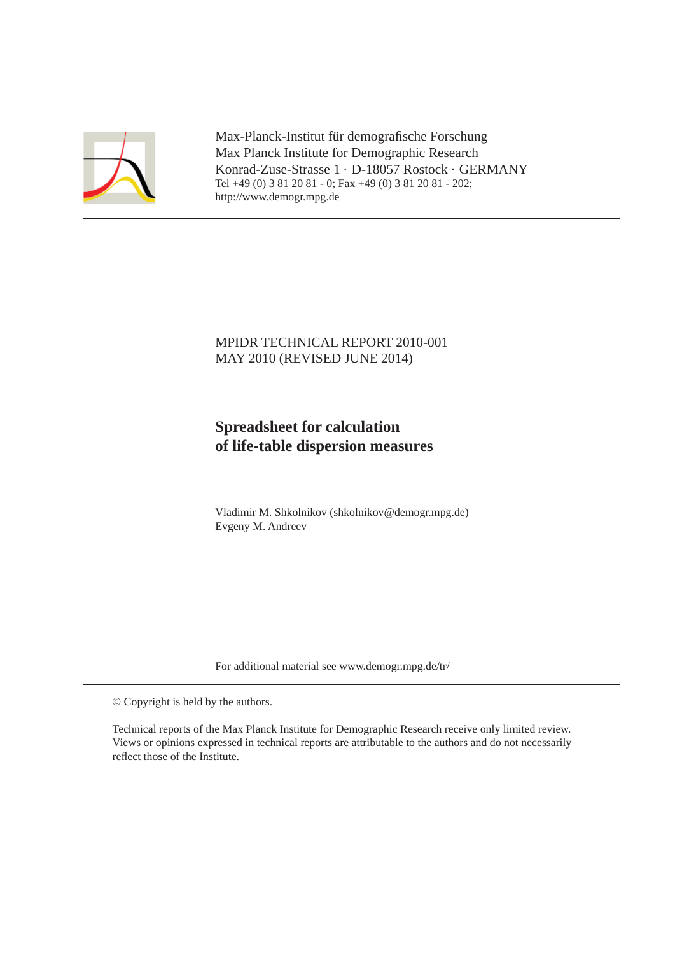

Max-Planck-Institut für demografische Forschung Max Planck Institute for Demographic Research Konrad-Zuse-Strasse 1 · D-18057 Rostock · GERMANY Tel +49 (0) 3 81 20 81 - 0; Fax +49 (0) 3 81 20 81 - 202; http://www.demogr.mpg.de

## MPIDR TECHNICAL REPORT 2010-001 MAY 2010 (REVISED JUNE 2014)

# **Spreadsheet for calculation of life-table dispersion measures**

Vladimir M. Shkolnikov (shkolnikov@demogr.mpg.de) Evgeny M. Andreev

For additional material see www.demogr.mpg.de/tr/

© Copyright is held by the authors.

Technical reports of the Max Planck Institute for Demographic Research receive only limited review. Views or opinions expressed in technical reports are attributable to the authors and do not necessarily reflect those of the Institute.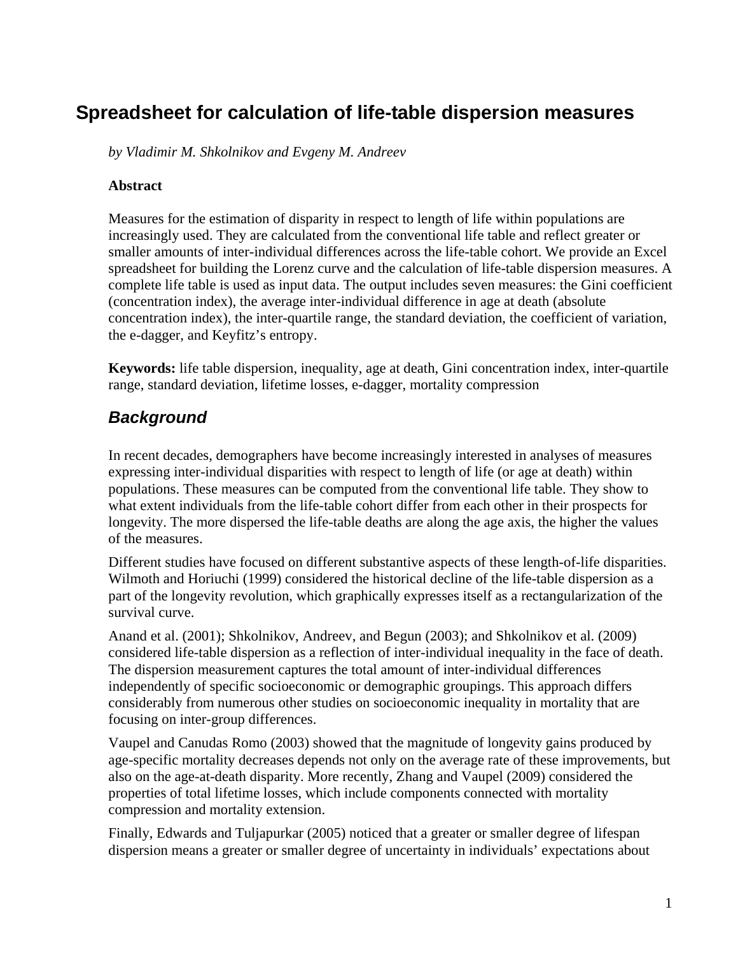# **Spreadsheet for calculation of life-table dispersion measures**

*by Vladimir M. Shkolnikov and Evgeny M. Andreev* 

#### **Abstract**

Measures for the estimation of disparity in respect to length of life within populations are increasingly used. They are calculated from the conventional life table and reflect greater or smaller amounts of inter-individual differences across the life-table cohort. We provide an Excel spreadsheet for building the Lorenz curve and the calculation of life-table dispersion measures. A complete life table is used as input data. The output includes seven measures: the Gini coefficient (concentration index), the average inter-individual difference in age at death (absolute concentration index), the inter-quartile range, the standard deviation, the coefficient of variation, the e-dagger, and Keyfitz's entropy.

**Keywords:** life table dispersion, inequality, age at death, Gini concentration index, inter-quartile range, standard deviation, lifetime losses, e-dagger, mortality compression

# *Background*

In recent decades, demographers have become increasingly interested in analyses of measures expressing inter-individual disparities with respect to length of life (or age at death) within populations. These measures can be computed from the conventional life table. They show to what extent individuals from the life-table cohort differ from each other in their prospects for longevity. The more dispersed the life-table deaths are along the age axis, the higher the values of the measures.

Different studies have focused on different substantive aspects of these length-of-life disparities. Wilmoth and Horiuchi (1999) considered the historical decline of the life-table dispersion as a part of the longevity revolution, which graphically expresses itself as a rectangularization of the survival curve.

Anand et al. (2001); Shkolnikov, Andreev, and Begun (2003); and Shkolnikov et al. (2009) considered life-table dispersion as a reflection of inter-individual inequality in the face of death. The dispersion measurement captures the total amount of inter-individual differences independently of specific socioeconomic or demographic groupings. This approach differs considerably from numerous other studies on socioeconomic inequality in mortality that are focusing on inter-group differences.

Vaupel and Canudas Romo (2003) showed that the magnitude of longevity gains produced by age-specific mortality decreases depends not only on the average rate of these improvements, but also on the age-at-death disparity. More recently, Zhang and Vaupel (2009) considered the properties of total lifetime losses, which include components connected with mortality compression and mortality extension.

Finally, Edwards and Tuljapurkar (2005) noticed that a greater or smaller degree of lifespan dispersion means a greater or smaller degree of uncertainty in individuals' expectations about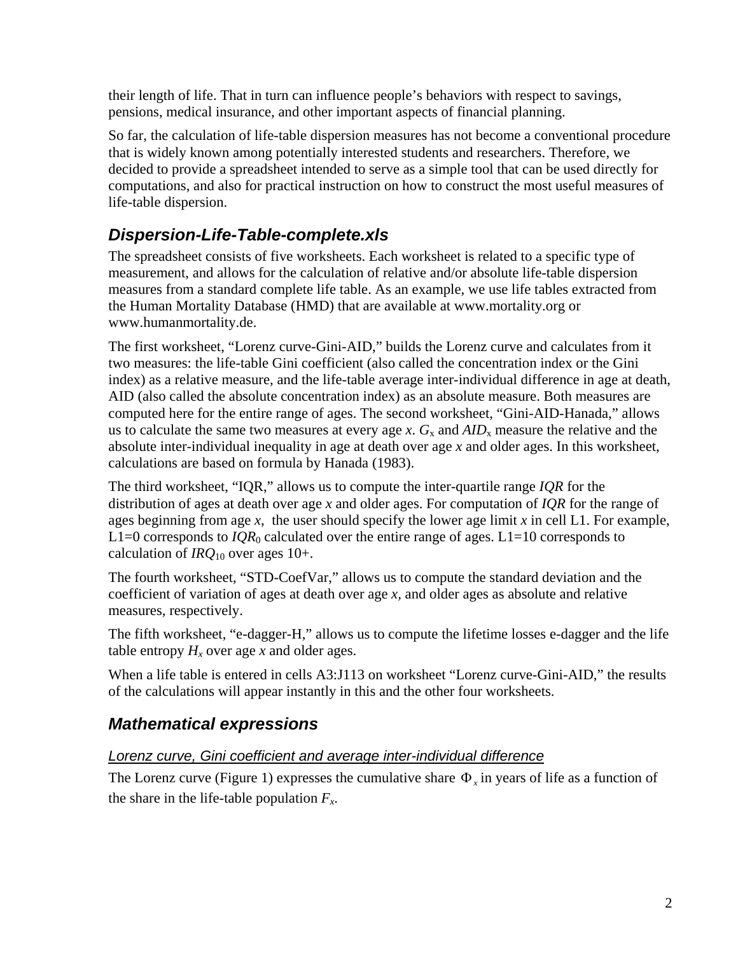their length of life. That in turn can influence people's behaviors with respect to savings, pensions, medical insurance, and other important aspects of financial planning.

So far, the calculation of life-table dispersion measures has not become a conventional procedure that is widely known among potentially interested students and researchers. Therefore, we decided to provide a spreadsheet intended to serve as a simple tool that can be used directly for computations, and also for practical instruction on how to construct the most useful measures of life-table dispersion.

# *Dispersion-Life-Table-complete.xls*

The spreadsheet consists of five worksheets. Each worksheet is related to a specific type of measurement, and allows for the calculation of relative and/or absolute life-table dispersion measures from a standard complete life table. As an example, we use life tables extracted from the Human Mortality Database (HMD) that are available at www.mortality.org or www.humanmortality.de.

The first worksheet, "Lorenz curve-Gini-AID," builds the Lorenz curve and calculates from it two measures: the life-table Gini coefficient (also called the concentration index or the Gini index) as a relative measure, and the life-table average inter-individual difference in age at death, AID (also called the absolute concentration index) as an absolute measure. Both measures are computed here for the entire range of ages. The second worksheet, "Gini-AID-Hanada," allows us to calculate the same two measures at every age *x*.  $G_x$  and  $AID_x$  measure the relative and the absolute inter-individual inequality in age at death over age *x* and older ages. In this worksheet, calculations are based on formula by Hanada (1983).

The third worksheet, "IQR," allows us to compute the inter-quartile range *IQR* for the distribution of ages at death over age *x* and older ages. For computation of *IQR* for the range of ages beginning from age *x*, the user should specify the lower age limit *x* in cell L1. For example, L1=0 corresponds to  $IQR_0$  calculated over the entire range of ages. L1=10 corresponds to calculation of *IRQ*10 over ages 10+.

The fourth worksheet, "STD-CoefVar," allows us to compute the standard deviation and the coefficient of variation of ages at death over age *x,* and older ages as absolute and relative measures, respectively.

The fifth worksheet, "e-dagger-H," allows us to compute the lifetime losses e-dagger and the life table entropy  $H_x$  over age x and older ages.

When a life table is entered in cells A3:J113 on worksheet "Lorenz curve-Gini-AID," the results of the calculations will appear instantly in this and the other four worksheets.

# *Mathematical expressions*

## *Lorenz curve, Gini coefficient and average inter-individual difference*

The Lorenz curve (Figure 1) expresses the cumulative share  $\Phi_{r}$  in years of life as a function of the share in the life-table population  $F_x$ .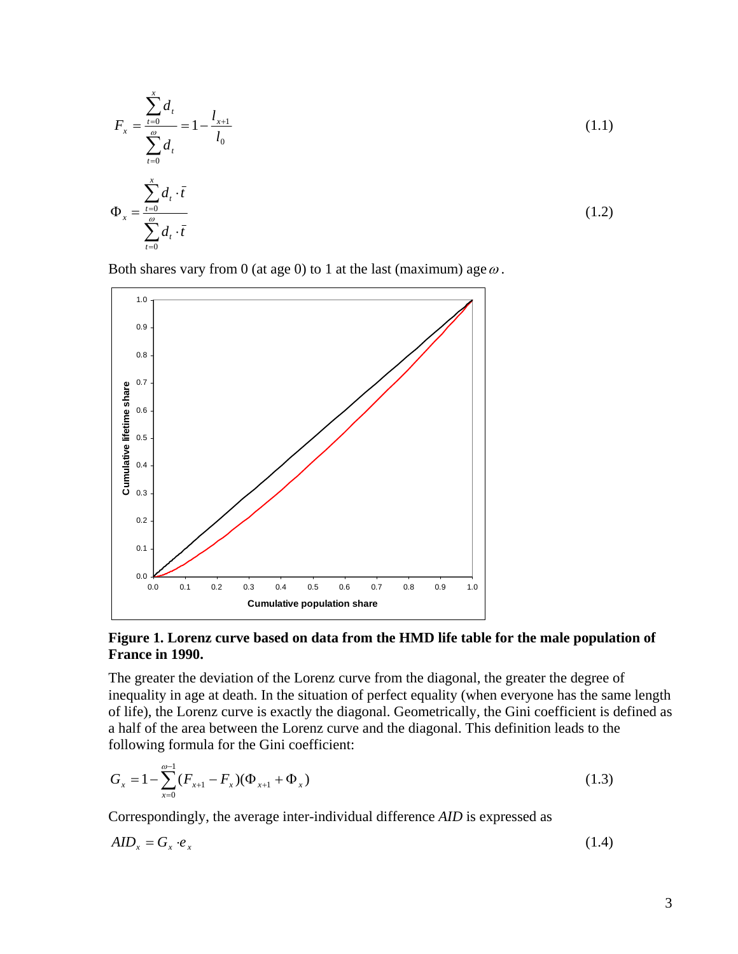$$
F_x = \frac{\sum_{t=0}^{x} d_t}{\sum_{t=0}^{a} d_t} = 1 - \frac{l_{x+1}}{l_0}
$$
(1.1)  

$$
\Phi_x = \frac{\sum_{t=0}^{x} d_t \cdot \bar{t}}{\sum_{t=0}^{a} d_t \cdot \bar{t}}
$$
(1.2)

Both shares vary from 0 (at age 0) to 1 at the last (maximum) age  $\omega$ .



#### **Figure 1. Lorenz curve based on data from the HMD life table for the male population of France in 1990.**

The greater the deviation of the Lorenz curve from the diagonal, the greater the degree of inequality in age at death. In the situation of perfect equality (when everyone has the same length of life), the Lorenz curve is exactly the diagonal. Geometrically, the Gini coefficient is defined as a half of the area between the Lorenz curve and the diagonal. This definition leads to the following formula for the Gini coefficient:

$$
G_x = 1 - \sum_{x=0}^{\omega-1} (F_{x+1} - F_x)(\Phi_{x+1} + \Phi_x)
$$
\n(1.3)

Correspondingly, the average inter-individual difference *AID* is expressed as

$$
AID_x = G_x \cdot e_x \tag{1.4}
$$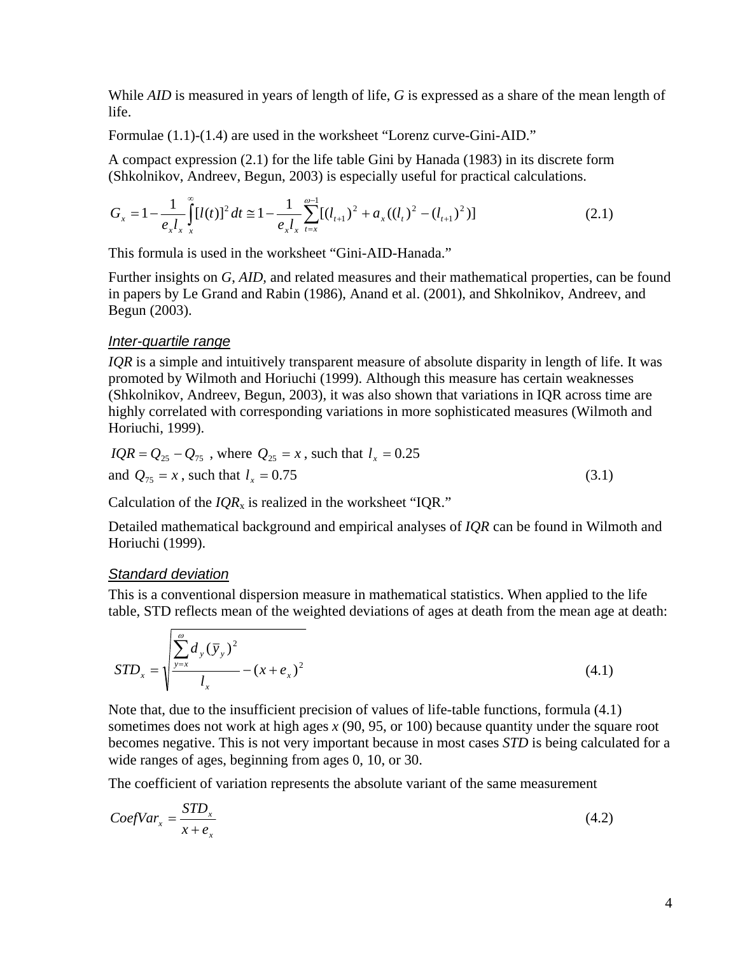While *AID* is measured in years of length of life, *G* is expressed as a share of the mean length of life.

Formulae (1.1)-(1.4) are used in the worksheet "Lorenz curve-Gini-AID."

A compact expression (2.1) for the life table Gini by Hanada (1983) in its discrete form (Shkolnikov, Andreev, Begun, 2003) is especially useful for practical calculations.

$$
G_x = 1 - \frac{1}{e_x l_x} \int_{x}^{\infty} [l(t)]^2 dt \approx 1 - \frac{1}{e_x l_x} \sum_{t=x}^{\infty} [(l_{t+1})^2 + a_x((l_t)^2 - (l_{t+1})^2)] \tag{2.1}
$$

This formula is used in the worksheet "Gini-AID-Hanada."

Further insights on *G*, *AID,* and related measures and their mathematical properties, can be found in papers by Le Grand and Rabin (1986), Anand et al. (2001), and Shkolnikov, Andreev, and Begun (2003).

### *Inter-quartile range*

*IQR* is a simple and intuitively transparent measure of absolute disparity in length of life. It was promoted by Wilmoth and Horiuchi (1999). Although this measure has certain weaknesses (Shkolnikov, Andreev, Begun, 2003), it was also shown that variations in IQR across time are highly correlated with corresponding variations in more sophisticated measures (Wilmoth and Horiuchi, 1999).

$$
IQR = Q_{25} - Q_{75}
$$
, where  $Q_{25} = x$ , such that  $l_x = 0.25$   
and  $Q_{75} = x$ , such that  $l_x = 0.75$  (3.1)

Calculation of the  $IQR_x$  is realized in the worksheet "IQR."

Detailed mathematical background and empirical analyses of *IQR* can be found in Wilmoth and Horiuchi (1999).

### *Standard deviation*

This is a conventional dispersion measure in mathematical statistics. When applied to the life table, STD reflects mean of the weighted deviations of ages at death from the mean age at death:

$$
STD_x = \sqrt{\frac{\sum_{y=x}^{0} d_y(\bar{y}_y)^2}{l_x} - (x + e_x)^2}
$$
\n(4.1)

Note that, due to the insufficient precision of values of life-table functions, formula (4.1) sometimes does not work at high ages *x* (90, 95, or 100) because quantity under the square root becomes negative. This is not very important because in most cases *STD* is being calculated for a wide ranges of ages, beginning from ages 0, 10, or 30.

The coefficient of variation represents the absolute variant of the same measurement

$$
CoefVar_x = \frac{STD_x}{x + e_x} \tag{4.2}
$$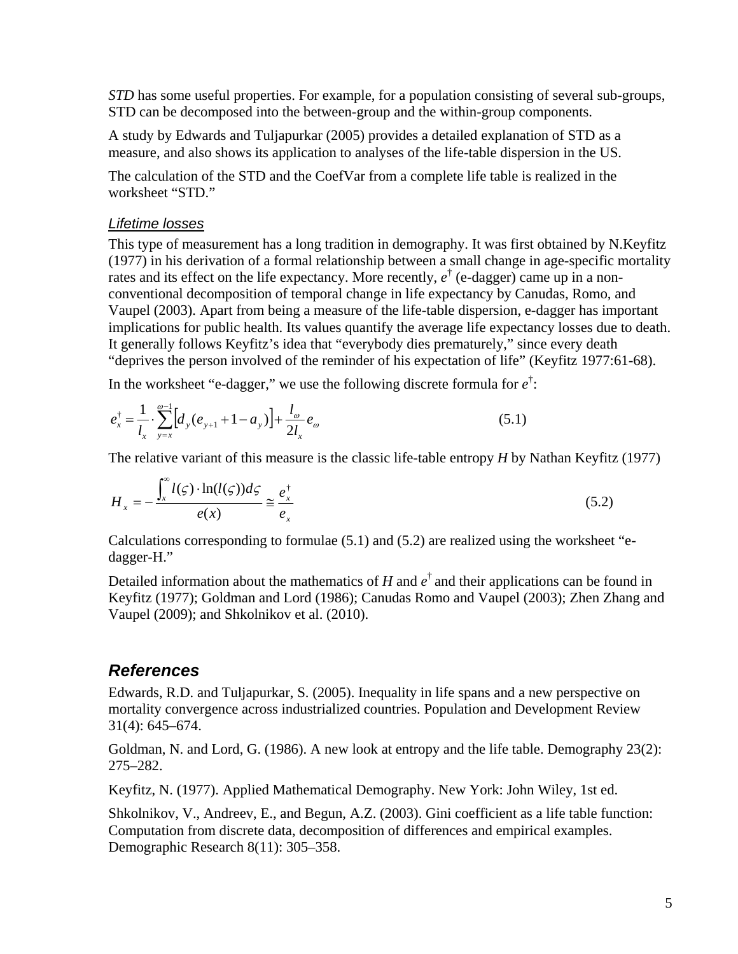*STD* has some useful properties. For example, for a population consisting of several sub-groups, STD can be decomposed into the between-group and the within-group components.

A study by Edwards and Tuljapurkar (2005) provides a detailed explanation of STD as a measure, and also shows its application to analyses of the life-table dispersion in the US.

The calculation of the STD and the CoefVar from a complete life table is realized in the worksheet "STD."

#### *Lifetime losses*

This type of measurement has a long tradition in demography. It was first obtained by N.Keyfitz (1977) in his derivation of a formal relationship between a small change in age-specific mortality rates and its effect on the life expectancy. More recently,  $e^{\dagger}$  (e-dagger) came up in a nonconventional decomposition of temporal change in life expectancy by Canudas, Romo, and Vaupel (2003). Apart from being a measure of the life-table dispersion, e-dagger has important implications for public health. Its values quantify the average life expectancy losses due to death. It generally follows Keyfitz's idea that "everybody dies prematurely," since every death "deprives the person involved of the reminder of his expectation of life" (Keyfitz 1977:61-68).

In the worksheet "e-dagger," we use the following discrete formula for  $e^{\dagger}$ :

$$
e_x^{\dagger} = \frac{1}{l_x} \cdot \sum_{y=x}^{\omega-1} \left[ d_y (e_{y+1} + 1 - a_y) \right] + \frac{l_{\omega}}{2l_x} e_{\omega}
$$
 (5.1)

The relative variant of this measure is the classic life-table entropy *H* by Nathan Keyfitz (1977)

$$
H_x = -\frac{\int_x^{\infty} l(\varsigma) \cdot \ln(l(\varsigma)) d\varsigma}{e(x)} \cong \frac{e_x^{\dagger}}{e_x}
$$
 (5.2)

Calculations corresponding to formulae  $(5.1)$  and  $(5.2)$  are realized using the worksheet "edagger-H."

Detailed information about the mathematics of  $H$  and  $e^{\dagger}$  and their applications can be found in Keyfitz (1977); Goldman and Lord (1986); Canudas Romo and Vaupel (2003); Zhen Zhang and Vaupel (2009); and Shkolnikov et al. (2010).

## *References*

Edwards, R.D. and Tuljapurkar, S. (2005). Inequality in life spans and a new perspective on mortality convergence across industrialized countries. Population and Development Review 31(4): 645–674.

Goldman, N. and Lord, G. (1986). A new look at entropy and the life table. Demography 23(2): 275–282.

Keyfitz, N. (1977). Applied Mathematical Demography. New York: John Wiley, 1st ed.

Shkolnikov, V., Andreev, E., and Begun, A.Z. (2003). Gini coefficient as a life table function: Computation from discrete data, decomposition of differences and empirical examples. Demographic Research 8(11): 305–358.